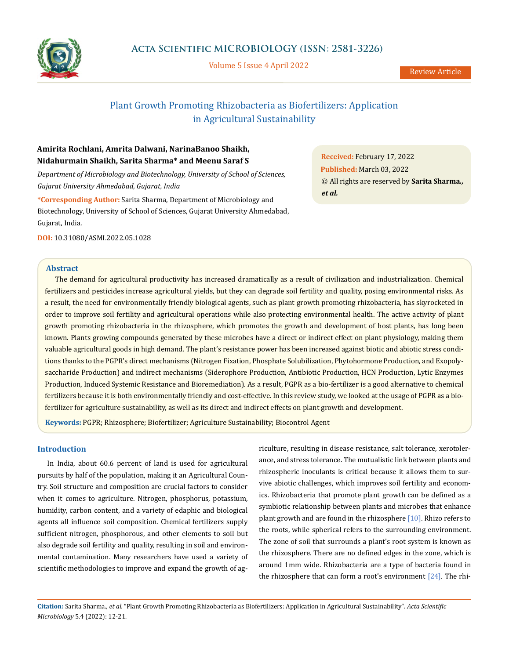

Volume 5 Issue 4 April 2022

# Plant Growth Promoting Rhizobacteria as Biofertilizers: Application in Agricultural Sustainability

# **Amirita Rochlani, Amrita Dalwani, NarinaBanoo Shaikh, Nidahurmain Shaikh, Sarita Sharma\* and Meenu Saraf S**

*Department of Microbiology and Biotechnology, University of School of Sciences, Gujarat University Ahmedabad, Gujarat, India*

**\*Corresponding Author:** Sarita Sharma, Department of Microbiology and Biotechnology, University of School of Sciences, Gujarat University Ahmedabad, Gujarat, India.

**DOI:** [10.31080/ASMI.2022.05.1028](http://actascientific.com/ASMI/pdf/ASMI-05-1028.pdf)

# **Abstract**

The demand for agricultural productivity has increased dramatically as a result of civilization and industrialization. Chemical fertilizers and pesticides increase agricultural yields, but they can degrade soil fertility and quality, posing environmental risks. As a result, the need for environmentally friendly biological agents, such as plant growth promoting rhizobacteria, has skyrocketed in order to improve soil fertility and agricultural operations while also protecting environmental health. The active activity of plant growth promoting rhizobacteria in the rhizosphere, which promotes the growth and development of host plants, has long been known. Plants growing compounds generated by these microbes have a direct or indirect effect on plant physiology, making them valuable agricultural goods in high demand. The plant's resistance power has been increased against biotic and abiotic stress conditions thanks to the PGPR's direct mechanisms (Nitrogen Fixation, Phosphate Solubilization, Phytohormone Production, and Exopolysaccharide Production) and indirect mechanisms (Siderophore Production, Antibiotic Production, HCN Production, Lytic Enzymes Production, Induced Systemic Resistance and Bioremediation). As a result, PGPR as a bio-fertilizer is a good alternative to chemical fertilizers because it is both environmentally friendly and cost-effective. In this review study, we looked at the usage of PGPR as a biofertilizer for agriculture sustainability, as well as its direct and indirect effects on plant growth and development.

**Keywords:** PGPR; Rhizosphere; Biofertilizer; Agriculture Sustainability; Biocontrol Agent

# **Introduction**

In India, about 60.6 percent of land is used for agricultural pursuits by half of the population, making it an Agricultural Country. Soil structure and composition are crucial factors to consider when it comes to agriculture. Nitrogen, phosphorus, potassium, humidity, carbon content, and a variety of edaphic and biological agents all influence soil composition. Chemical fertilizers supply sufficient nitrogen, phosphorous, and other elements to soil but also degrade soil fertility and quality, resulting in soil and environmental contamination. Many researchers have used a variety of scientific methodologies to improve and expand the growth of agriculture, resulting in disease resistance, salt tolerance, xerotolerance, and stress tolerance. The mutualistic link between plants and rhizospheric inoculants is critical because it allows them to survive abiotic challenges, which improves soil fertility and economics. Rhizobacteria that promote plant growth can be defined as a symbiotic relationship between plants and microbes that enhance plant growth and are found in the rhizosphere  $[10]$ . Rhizo refers to the roots, while spherical refers to the surrounding environment. The zone of soil that surrounds a plant's root system is known as the rhizosphere. There are no defined edges in the zone, which is around 1mm wide. Rhizobacteria are a type of bacteria found in the rhizosphere that can form a root's environment  $[24]$ . The rhi-

**Citation:** Sarita Sharma*., et al.* "Plant Growth Promoting Rhizobacteria as Biofertilizers: Application in Agricultural Sustainability". *Acta Scientific Microbiology* 5.4 (2022): 12-21.

**Received:** February 17, 2022 **Published:** March 03, 2022 © All rights are reserved by **Sarita Sharma***., et al.*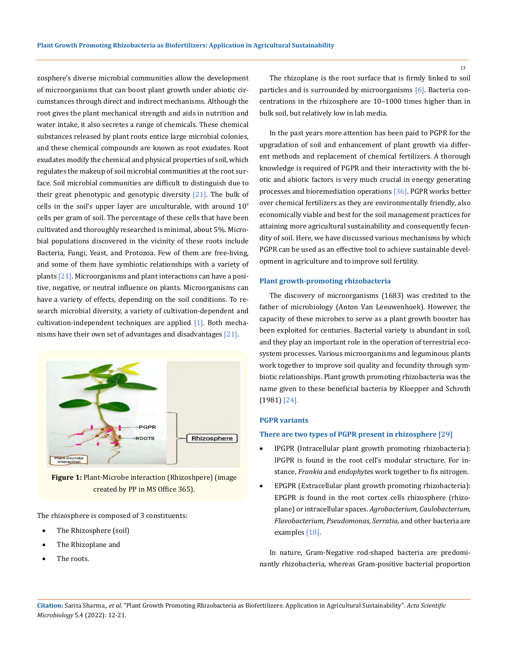zosphere's diverse microbial communities allow the development of microorganisms that can boost plant growth under abiotic circumstances through direct and indirect mechanisms. Although the root gives the plant mechanical strength and aids in nutrition and water intake, it also secretes a range of chemicals. These chemical substances released by plant roots entice large microbial colonies, and these chemical compounds are known as root exudates. Root exudates modify the chemical and physical properties of soil, which regulates the makeup of soil microbial communities at the root surface. Soil microbial communities are difficult to distinguish due to their great phenotypic and genotypic diversity  $[21]$ . The bulk of cells in the soil's upper layer are unculturable, with around  $10<sup>9</sup>$ cells per gram of soil. The percentage of these cells that have been cultivated and thoroughly researched is minimal, about 5%. Microbial populations discovered in the vicinity of these roots include Bacteria, Fungi, Yeast, and Protozoa. Few of them are free-living, and some of them have symbiotic relationships with a variety of plants [21]. Microorganisms and plant interactions can have a positive, negative, or neutral influence on plants. Microorganisms can have a variety of effects, depending on the soil conditions. To research microbial diversity, a variety of cultivation-dependent and cultivation-independent techniques are applied [1]. Both mechanisms have their own set of advantages and disadvantages [21].



**Figure 1:** Plant-Microbe interaction (Rhizoshpere) (image created by PP in MS Office 365).

The rhizosphere is composed of 3 constituents:

- The Rhizosphere (soil)
- The Rhizoplane and
- The roots.

The rhizoplane is the root surface that is firmly linked to soil particles and is surrounded by microorganisms [6]. Bacteria concentrations in the rhizosphere are 10–1000 times higher than in bulk soil, but relatively low in lab media.

In the past years more attention has been paid to PGPR for the upgradation of soil and enhancement of plant growth via different methods and replacement of chemical fertilizers. A thorough knowledge is required of PGPR and their interactivity with the biotic and abiotic factors is very much crucial in energy generating processes and bioremediation operations [36]. PGPR works better over chemical fertilizers as they are environmentally friendly, also economically viable and best for the soil management practices for attaining more agricultural sustainability and consequently fecundity of soil. Here, we have discussed various mechanisms by which PGPR can be used as an effective tool to achieve sustainable development in agriculture and to improve soil fertility.

#### **Plant growth-promoting rhizobacteria**

The discovery of microorganisms (1683) was credited to the father of microbiology (Anton Van Leeuwenhoek). However, the capacity of these microbes to serve as a plant growth booster has been exploited for centuries. Bacterial variety is abundant in soil, and they play an important role in the operation of terrestrial ecosystem processes. Various microorganisms and leguminous plants work together to improve soil quality and fecundity through symbiotic relationships. Plant growth promoting rhizobacteria was the name given to these beneficial bacteria by Kloepper and Schroth (1981) [24].

### **PGPR variants**

### **There are two types of PGPR present in rhizosphere [29]**

- IPGPR (Intracellular plant growth promoting rhizobacteria): IPGPR is found in the root cell's modular structure. For instance, *Frankia* and *endophyte*s work together to fix nitrogen.
- EPGPR (Extracellular plant growth promoting rhizobacteria): EPGPR is found in the root cortex cells rhizosphere (rhizoplane) or intracellular spaces. *Agrobacterium, Caulobacterium, Flavobacterium, Pseudomonas, Serratia,* and other bacteria are examples [18].

In nature, Gram-Negative rod-shaped bacteria are predominantly rhizobacteria, whereas Gram-positive bacterial proportion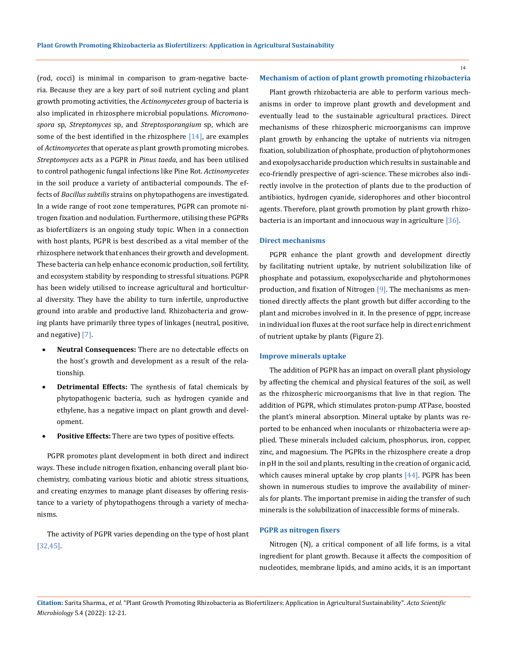(rod, cocci) is minimal in comparison to gram-negative bacteria. Because they are a key part of soil nutrient cycling and plant growth promoting activities, the *Actinomycetes* group of bacteria is also implicated in rhizosphere microbial populations. *Micromonospora* sp, *Streptomyces* sp, and *Streptosporangium* sp, which are some of the best identified in the rhizosphere  $[14]$ , are examples of *Actinomycetes* that operate as plant growth promoting microbes. *Streptomyces* acts as a PGPR in *Pinus taeda*, and has been utilised to control pathogenic fungal infections like Pine Rot. *Actinomycetes*  in the soil produce a variety of antibacterial compounds. The effects of *Bacillus subtilis* strains on phytopathogens are investigated. In a wide range of root zone temperatures, PGPR can promote nitrogen fixation and nodulation. Furthermore, utilising these PGPRs as biofertilizers is an ongoing study topic. When in a connection with host plants, PGPR is best described as a vital member of the rhizosphere network that enhances their growth and development. These bacteria can help enhance economic production, soil fertility, and ecosystem stability by responding to stressful situations. PGPR has been widely utilised to increase agricultural and horticultural diversity. They have the ability to turn infertile, unproductive ground into arable and productive land. Rhizobacteria and growing plants have primarily three types of linkages (neutral, positive, and negative) [7].

- Neutral Consequences: There are no detectable effects on the host's growth and development as a result of the relationship.
- **Detrimental Effects:** The synthesis of fatal chemicals by phytopathogenic bacteria, such as hydrogen cyanide and ethylene, has a negative impact on plant growth and development.
- **Positive Effects:** There are two types of positive effects.

PGPR promotes plant development in both direct and indirect ways. These include nitrogen fixation, enhancing overall plant biochemistry, combating various biotic and abiotic stress situations, and creating enzymes to manage plant diseases by offering resistance to a variety of phytopathogens through a variety of mechanisms.

The activity of PGPR varies depending on the type of host plant [32,45].

#### **Mechanism of action of plant growth promoting rhizobacteria**

Plant growth rhizobacteria are able to perform various mechanisms in order to improve plant growth and development and eventually lead to the sustainable agricultural practices. Direct mechanisms of these rhizospheric microorganisms can improve plant growth by enhancing the uptake of nutrients via nitrogen fixation, solubilization of phosphate, production of phytohormones and exopolysaccharide production which results in sustainable and eco-friendly prespective of agri-science. These microbes also indirectly involve in the protection of plants due to the production of antibiotics, hydrogen cyanide, siderophores and other biocontrol agents. Therefore, plant growth promotion by plant growth rhizobacteria is an important and innocuous way in agriculture [36].

# **Direct mechanisms**

PGPR enhance the plant growth and development directly by facilitating nutrient uptake, by nutrient solubilization like of phosphate and potassium, exopolysccharide and phytohormones production, and fixation of Nitrogen [9]. The mechanisms as mentioned directly affects the plant growth but differ according to the plant and microbes involved in it. In the presence of pgpr, increase in individual ion fluxes at the root surface help in direct enrichment of nutrient uptake by plants (Figure 2).

### **Improve minerals uptake**

The addition of PGPR has an impact on overall plant physiology by affecting the chemical and physical features of the soil, as well as the rhizospheric microorganisms that live in that region. The addition of PGPR, which stimulates proton-pump ATPase, boosted the plant's mineral absorption. Mineral uptake by plants was reported to be enhanced when inoculants or rhizobacteria were applied. These minerals included calcium, phosphorus, iron, copper, zinc, and magnesium. The PGPRs in the rhizosphere create a drop in pH in the soil and plants, resulting in the creation of organic acid, which causes mineral uptake by crop plants [44]. PGPR has been shown in numerous studies to improve the availability of minerals for plants. The important premise in aiding the transfer of such minerals is the solubilization of inaccessible forms of minerals.

#### **PGPR as nitrogen fixers**

Nitrogen (N), a critical component of all life forms, is a vital ingredient for plant growth. Because it affects the composition of nucleotides, membrane lipids, and amino acids, it is an important

**Citation:** Sarita Sharma*., et al.* "Plant Growth Promoting Rhizobacteria as Biofertilizers: Application in Agricultural Sustainability". *Acta Scientific Microbiology* 5.4 (2022): 12-21.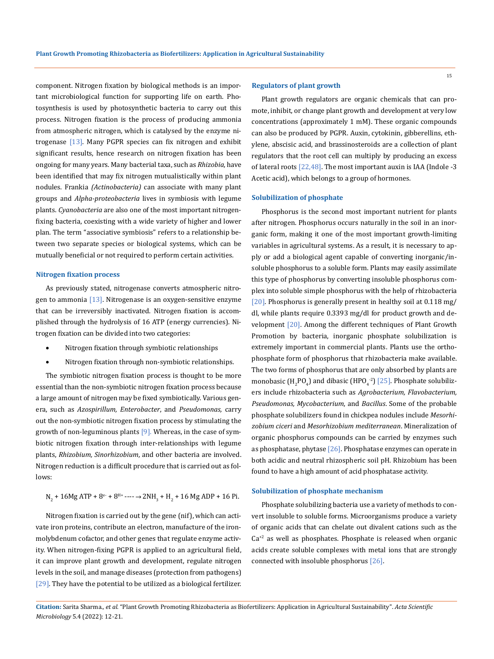component. Nitrogen fixation by biological methods is an important microbiological function for supporting life on earth. Photosynthesis is used by photosynthetic bacteria to carry out this process. Nitrogen fixation is the process of producing ammonia from atmospheric nitrogen, which is catalysed by the enzyme nitrogenase [13]. Many PGPR species can fix nitrogen and exhibit significant results, hence research on nitrogen fixation has been ongoing for many years. Many bacterial taxa, such as *Rhizobia*, have been identified that may fix nitrogen mutualistically within plant nodules. Frankia *(Actinobacteria)* can associate with many plant groups and *Alpha-proteobacteria* lives in symbiosis with legume plants. *Cyanobacteria* are also one of the most important nitrogenfixing bacteria, coexisting with a wide variety of higher and lower plan. The term "associative symbiosis" refers to a relationship between two separate species or biological systems, which can be mutually beneficial or not required to perform certain activities.

# **Nitrogen fixation process**

As previously stated, nitrogenase converts atmospheric nitrogen to ammonia [13]. Nitrogenase is an oxygen-sensitive enzyme that can be irreversibly inactivated. Nitrogen fixation is accomplished through the hydrolysis of 16 ATP (energy currencies). Nitrogen fixation can be divided into two categories:

- • Nitrogen fixation through symbiotic relationships
- Nitrogen fixation through non-symbiotic relationships.

The symbiotic nitrogen fixation process is thought to be more essential than the non-symbiotic nitrogen fixation process because a large amount of nitrogen may be fixed symbiotically. Various genera, such as *Azospirillum, Enterobacter*, and *Pseudomonas,* carry out the non-symbiotic nitrogen fixation process by stimulating the growth of non-leguminous plants [9]. Whereas, in the case of symbiotic nitrogen fixation through inter-relationships with legume plants, *Rhizobium, Sinorhizobium*, and other bacteria are involved. Nitrogen reduction is a difficult procedure that is carried out as follows:

$$
N_2 + 16Mg \, \text{ATP} + 8^{e} + 8^{H+} \cdots \rightarrow 2NH_3 + H_2 + 16 \, Mg \, ADP + 16 \, Pi.
$$

Nitrogen fixation is carried out by the gene (nif), which can activate iron proteins, contribute an electron, manufacture of the ironmolybdenum cofactor, and other genes that regulate enzyme activity. When nitrogen-fixing PGPR is applied to an agricultural field, it can improve plant growth and development, regulate nitrogen levels in the soil, and manage diseases (protection from pathogens) [29]. They have the potential to be utilized as a biological fertilizer.

#### **Regulators of plant growth**

Plant growth regulators are organic chemicals that can promote, inhibit, or change plant growth and development at very low concentrations (approximately 1 mM). These organic compounds can also be produced by PGPR. Auxin, cytokinin, gibberellins, ethylene, abscisic acid, and brassinosteroids are a collection of plant regulators that the root cell can multiply by producing an excess of lateral roots [22,48]. The most important auxin is IAA (Indole -3 Acetic acid), which belongs to a group of hormones.

## **Solubilization of phosphate**

Phosphorus is the second most important nutrient for plants after nitrogen. Phosphorus occurs naturally in the soil in an inorganic form, making it one of the most important growth-limiting variables in agricultural systems. As a result, it is necessary to apply or add a biological agent capable of converting inorganic/insoluble phosphorus to a soluble form. Plants may easily assimilate this type of phosphorus by converting insoluble phosphorus complex into soluble simple phosphorus with the help of rhizobacteria [20]. Phosphorus is generally present in healthy soil at 0.118 mg/ dl, while plants require 0.3393 mg/dl for product growth and development [20]. Among the different techniques of Plant Growth Promotion by bacteria, inorganic phosphate solubilization is extremely important in commercial plants. Plants use the orthophosphate form of phosphorus that rhizobacteria make available. The two forms of phosphorus that are only absorbed by plants are monobasic (H<sub>2</sub>PO<sub>4</sub>) and dibasic (HPO<sub>4</sub><sup>-2</sup>) [25]. Phosphate solubilizers include rhizobacteria such as *Agrobacterium, Flavobacterium, Pseudomonas, Mycobacterium*, and *Bacillus*. Some of the probable phosphate solubilizers found in chickpea nodules include *Mesorhizobium ciceri* and *Mesorhizobium mediterranean*. Mineralization of organic phosphorus compounds can be carried by enzymes such as phosphatase, phytase [26]. Phosphatase enzymes can operate in both acidic and neutral rhizospheric soil pH. Rhizobium has been found to have a high amount of acid phosphatase activity.

#### **Solubilization of phosphate mechanism**

Phosphate solubilizing bacteria use a variety of methods to convert insoluble to soluble forms. Microorganisms produce a variety of organic acids that can chelate out divalent cations such as the  $Ca^{2}$  as well as phosphates. Phosphate is released when organic acids create soluble complexes with metal ions that are strongly connected with insoluble phosphorus [26].

**Citation:** Sarita Sharma*., et al.* "Plant Growth Promoting Rhizobacteria as Biofertilizers: Application in Agricultural Sustainability". *Acta Scientific Microbiology* 5.4 (2022): 12-21.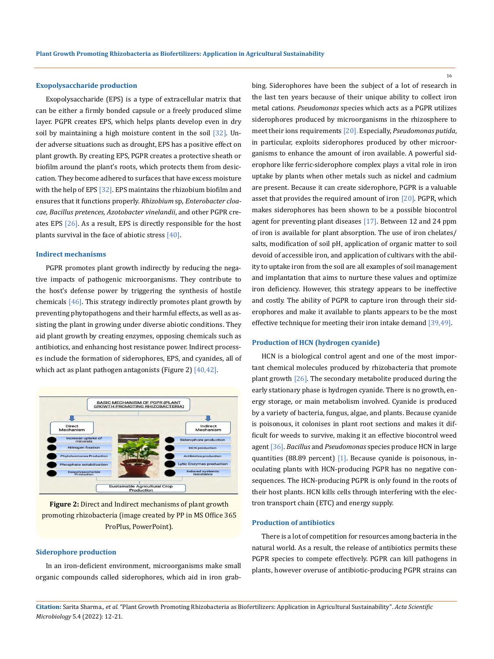#### **Exopolysaccharide production**

Exopolysaccharide (EPS) is a type of extracellular matrix that can be either a firmly bonded capsule or a freely produced slime layer. PGPR creates EPS, which helps plants develop even in dry soil by maintaining a high moisture content in the soil [32]. Under adverse situations such as drought, EPS has a positive effect on plant growth. By creating EPS, PGPR creates a protective sheath or biofilm around the plant's roots, which protects them from desiccation. They become adhered to surfaces that have excess moisture with the help of EPS [32]. EPS maintains the rhizobium biofilm and ensures that it functions properly. *Rhizobium* sp, *Enterobacter cloacae, Bacillus pretences, Azotobacter vinelandii*, and other PGPR creates EPS [26]. As a result, EPS is directly responsible for the host plants survival in the face of abiotic stress [40].

#### **Indirect mechanisms**

PGPR promotes plant growth indirectly by reducing the negative impacts of pathogenic microorganisms. They contribute to the host's defense power by triggering the synthesis of hostile chemicals [46]. This strategy indirectly promotes plant growth by preventing phytopathogens and their harmful effects, as well as assisting the plant in growing under diverse abiotic conditions. They aid plant growth by creating enzymes, opposing chemicals such as antibiotics, and enhancing host resistance power. Indirect processes include the formation of siderophores, EPS, and cyanides, all of which act as plant pathogen antagonists (Figure 2) [40,42].



**Figure 2:** Direct and Indirect mechanisms of plant growth promoting rhizobacteria (image created by PP in MS Office 365 ProPlus, PowerPoint).

# **Siderophore production**

In an iron-deficient environment, microorganisms make small organic compounds called siderophores, which aid in iron grabbing. Siderophores have been the subject of a lot of research in the last ten years because of their unique ability to collect iron metal cations. *Pseudomonas* species which acts as a PGPR utilizes siderophores produced by microorganisms in the rhizosphere to meet their ions requirements [20]. Especially, *Pseudomonas putida*, in particular, exploits siderophores produced by other microorganisms to enhance the amount of iron available. A powerful siderophore like ferric-siderophore complex plays a vital role in iron uptake by plants when other metals such as nickel and cadmium are present. Because it can create siderophore, PGPR is a valuable asset that provides the required amount of iron [20]. PGPR, which makes siderophores has been shown to be a possible biocontrol agent for preventing plant diseases [17]. Between 12 and 24 ppm of iron is available for plant absorption. The use of iron chelates/ salts, modification of soil pH, application of organic matter to soil devoid of accessible iron, and application of cultivars with the ability to uptake iron from the soil are all examples of soil management and implantation that aims to nurture these values and optimize iron deficiency. However, this strategy appears to be ineffective and costly. The ability of PGPR to capture iron through their siderophores and make it available to plants appears to be the most effective technique for meeting their iron intake demand [39,49].

#### **Production of HCN (hydrogen cyanide)**

HCN is a biological control agent and one of the most important chemical molecules produced by rhizobacteria that promote plant growth  $[26]$ . The secondary metabolite produced during the early stationary phase is hydrogen cyanide. There is no growth, energy storage, or main metabolism involved. Cyanide is produced by a variety of bacteria, fungus, algae, and plants. Because cyanide is poisonous, it colonises in plant root sections and makes it difficult for weeds to survive, making it an effective biocontrol weed agent [36]. *Bacillus* and *Pseudomonas* species produce HCN in large quantities (88.89 percent) [1]. Because cyanide is poisonous, inoculating plants with HCN-producing PGPR has no negative consequences. The HCN-producing PGPR is only found in the roots of their host plants. HCN kills cells through interfering with the electron transport chain (ETC) and energy supply.

## **Production of antibiotics**

There is a lot of competition for resources among bacteria in the natural world. As a result, the release of antibiotics permits these PGPR species to compete effectively. PGPR can kill pathogens in plants, however overuse of antibiotic-producing PGPR strains can

**Citation:** Sarita Sharma*., et al.* "Plant Growth Promoting Rhizobacteria as Biofertilizers: Application in Agricultural Sustainability". *Acta Scientific Microbiology* 5.4 (2022): 12-21.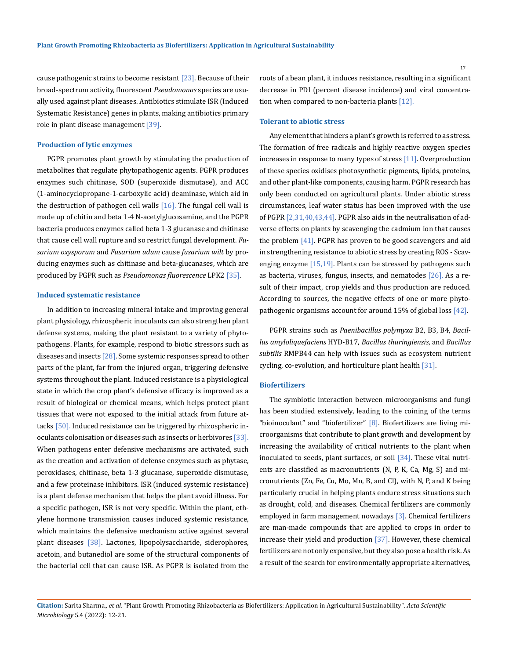cause pathogenic strains to become resistant  $[23]$ . Because of their broad-spectrum activity, fluorescent *Pseudomonas* species are usually used against plant diseases. Antibiotics stimulate ISR (Induced Systematic Resistance) genes in plants, making antibiotics primary role in plant disease management [39].

#### **Production of lytic enzymes**

PGPR promotes plant growth by stimulating the production of metabolites that regulate phytopathogenic agents. PGPR produces enzymes such chitinase, SOD (superoxide dismutase), and ACC (1-aminocyclopropane-1-carboxylic acid) deaminase, which aid in the destruction of pathogen cell walls  $[16]$ . The fungal cell wall is made up of chitin and beta 1-4 N-acetylglucosamine, and the PGPR bacteria produces enzymes called beta 1-3 glucanase and chitinase that cause cell wall rupture and so restrict fungal development. *Fusarium oxysporum* and *Fusarium udum* cause *fusarium wilt* by producing enzymes such as chitinase and beta-glucanases, which are produced by PGPR such as *Pseudomonas fluorescence* LPK2 [35].

#### **Induced systematic resistance**

In addition to increasing mineral intake and improving general plant physiology, rhizospheric inoculants can also strengthen plant defense systems, making the plant resistant to a variety of phytopathogens. Plants, for example, respond to biotic stressors such as diseases and insects  $[28]$ . Some systemic responses spread to other parts of the plant, far from the injured organ, triggering defensive systems throughout the plant. Induced resistance is a physiological state in which the crop plant's defensive efficacy is improved as a result of biological or chemical means, which helps protect plant tissues that were not exposed to the initial attack from future attacks [50]. Induced resistance can be triggered by rhizospheric inoculants colonisation or diseases such as insects or herbivores [33]. When pathogens enter defensive mechanisms are activated, such as the creation and activation of defense enzymes such as phytase, peroxidases, chitinase, beta 1-3 glucanase, superoxide dismutase, and a few proteinase inhibitors. ISR (induced systemic resistance) is a plant defense mechanism that helps the plant avoid illness. For a specific pathogen, ISR is not very specific. Within the plant, ethylene hormone transmission causes induced systemic resistance, which maintains the defensive mechanism active against several plant diseases [38]. Lactones, lipopolysaccharide, siderophores, acetoin, and butanediol are some of the structural components of the bacterial cell that can cause ISR. As PGPR is isolated from the

roots of a bean plant, it induces resistance, resulting in a significant decrease in PDI (percent disease incidence) and viral concentration when compared to non-bacteria plants [12].

#### **Tolerant to abiotic stress**

Any element that hinders a plant's growth is referred to as stress. The formation of free radicals and highly reactive oxygen species increases in response to many types of stress [11]. Overproduction of these species oxidises photosynthetic pigments, lipids, proteins, and other plant-like components, causing harm. PGPR research has only been conducted on agricultural plants. Under abiotic stress circumstances, leaf water status has been improved with the use of PGPR [2,31,40,43,44]. PGPR also aids in the neutralisation of adverse effects on plants by scavenging the cadmium ion that causes the problem  $[41]$ . PGPR has proven to be good scavengers and aid in strengthening resistance to abiotic stress by creating ROS - Scavenging enzyme [15,19]. Plants can be stressed by pathogens such as bacteria, viruses, fungus, insects, and nematodes [26]. As a result of their impact, crop yields and thus production are reduced. According to sources, the negative effects of one or more phytopathogenic organisms account for around 15% of global loss [42].

PGPR strains such as *Paenibacillus polymyxa* B2, B3, B4, *Bacillus amyloliquefaciens* HYD-B17, *Bacillus thuringiensis*, and *Bacillus subtilis* RMPB44 can help with issues such as ecosystem nutrient cycling, co-evolution, and horticulture plant health [31].

#### **Biofertilizers**

The symbiotic interaction between microorganisms and fungi has been studied extensively, leading to the coining of the terms "bioinoculant" and "biofertilizer"  $[8]$ . Biofertilizers are living microorganisms that contribute to plant growth and development by increasing the availability of critical nutrients to the plant when inoculated to seeds, plant surfaces, or soil [34]. These vital nutrients are classified as macronutrients (N, P, K, Ca, Mg, S) and micronutrients (Zn, Fe, Cu, Mo, Mn, B, and Cl), with N, P, and K being particularly crucial in helping plants endure stress situations such as drought, cold, and diseases. Chemical fertilizers are commonly employed in farm management nowadays [3]. Chemical fertilizers are man-made compounds that are applied to crops in order to increase their yield and production [37]. However, these chemical fertilizers are not only expensive, but they also pose a health risk. As a result of the search for environmentally appropriate alternatives,

**Citation:** Sarita Sharma*., et al.* "Plant Growth Promoting Rhizobacteria as Biofertilizers: Application in Agricultural Sustainability". *Acta Scientific Microbiology* 5.4 (2022): 12-21.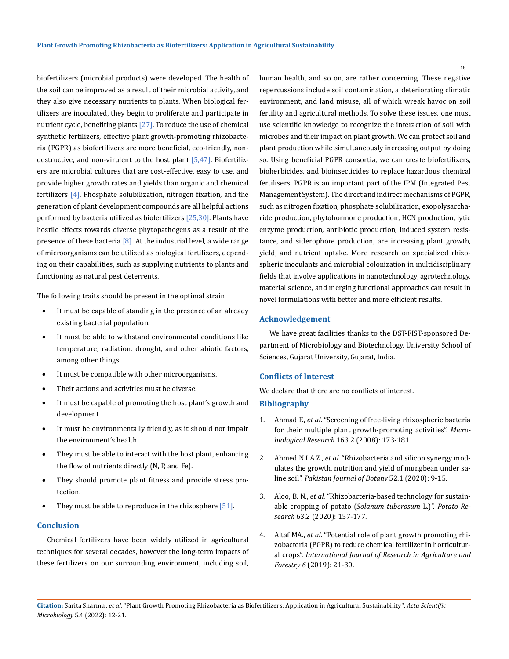biofertilizers (microbial products) were developed. The health of the soil can be improved as a result of their microbial activity, and they also give necessary nutrients to plants. When biological fertilizers are inoculated, they begin to proliferate and participate in nutrient cycle, benefiting plants [27]. To reduce the use of chemical synthetic fertilizers, effective plant growth-promoting rhizobacteria (PGPR) as biofertilizers are more beneficial, eco-friendly, nondestructive, and non-virulent to the host plant  $[5,47]$ . Biofertilizers are microbial cultures that are cost-effective, easy to use, and provide higher growth rates and yields than organic and chemical fertilizers [4]. Phosphate solubilization, nitrogen fixation, and the generation of plant development compounds are all helpful actions performed by bacteria utilized as biofertilizers  $[25,30]$ . Plants have hostile effects towards diverse phytopathogens as a result of the presence of these bacteria  $[8]$ . At the industrial level, a wide range of microorganisms can be utilized as biological fertilizers, depending on their capabilities, such as supplying nutrients to plants and functioning as natural pest deterrents.

The following traits should be present in the optimal strain

- It must be capable of standing in the presence of an already existing bacterial population.
- It must be able to withstand environmental conditions like temperature, radiation, drought, and other abiotic factors, among other things.
- It must be compatible with other microorganisms.
- Their actions and activities must be diverse.
- It must be capable of promoting the host plant's growth and development.
- It must be environmentally friendly, as it should not impair the environment's health.
- They must be able to interact with the host plant, enhancing the flow of nutrients directly (N, P, and Fe).
- They should promote plant fitness and provide stress protection.
- They must be able to reproduce in the rhizosphere  $[51]$ .

# **Conclusion**

Chemical fertilizers have been widely utilized in agricultural techniques for several decades, however the long-term impacts of these fertilizers on our surrounding environment, including soil,

human health, and so on, are rather concerning. These negative repercussions include soil contamination, a deteriorating climatic environment, and land misuse, all of which wreak havoc on soil fertility and agricultural methods. To solve these issues, one must use scientific knowledge to recognize the interaction of soil with microbes and their impact on plant growth. We can protect soil and plant production while simultaneously increasing output by doing so. Using beneficial PGPR consortia, we can create biofertilizers, bioherbicides, and bioinsecticides to replace hazardous chemical fertilisers. PGPR is an important part of the IPM (Integrated Pest Management System). The direct and indirect mechanisms of PGPR, such as nitrogen fixation, phosphate solubilization, exopolysaccharide production, phytohormone production, HCN production, lytic enzyme production, antibiotic production, induced system resistance, and siderophore production, are increasing plant growth, yield, and nutrient uptake. More research on specialized rhizospheric inoculants and microbial colonization in multidisciplinary fields that involve applications in nanotechnology, agrotechnology, material science, and merging functional approaches can result in novel formulations with better and more efficient results.

### **Acknowledgement**

We have great facilities thanks to the DST-FIST-sponsored Department of Microbiology and Biotechnology, University School of Sciences, Gujarat University, Gujarat, India.

# **Conflicts of Interest**

We declare that there are no conflicts of interest.

# **Bibliography**

- 1. Ahmad F., *et al*[. "Screening of free-living rhizospheric bacteria](https://www.sciencedirect.com/science/article/pii/S0944501306000437)  [for their multiple plant growth-promoting activities".](https://www.sciencedirect.com/science/article/pii/S0944501306000437) *Micro[biological Research](https://www.sciencedirect.com/science/article/pii/S0944501306000437)* 163.2 (2008): 173-181.
- 2. Ahmed N I A Z., *et al*[. "Rhizobacteria and silicon synergy mod](https://www.researchgate.net/publication/335432174_Rhizobacteria_and_silicon_synergy_modulates_the_growth_nutrition_and_yield_of_mungbean_under_saline_soil)[ulates the growth, nutrition and yield of mungbean under sa](https://www.researchgate.net/publication/335432174_Rhizobacteria_and_silicon_synergy_modulates_the_growth_nutrition_and_yield_of_mungbean_under_saline_soil)line soil". *[Pakistan Journal of Botany](https://www.researchgate.net/publication/335432174_Rhizobacteria_and_silicon_synergy_modulates_the_growth_nutrition_and_yield_of_mungbean_under_saline_soil)* 52.1 (2020): 9-15.
- 3. Aloo, B. N., *et al*[. "Rhizobacteria-based technology for sustain](https://link.springer.com/article/10.1007/s11540-019-09432-1)[able cropping of potato \(](https://link.springer.com/article/10.1007/s11540-019-09432-1)*Solanum tuberosum* L.)". *Potato Research* [63.2 \(2020\): 157-177.](https://link.springer.com/article/10.1007/s11540-019-09432-1)
- 4. Altaf MA., *et al*[. "Potential role of plant growth promoting rhi](https://www.ijraf.org/papers/v6-i5/4.pdf)[zobacteria \(PGPR\) to reduce chemical fertilizer in horticultur](https://www.ijraf.org/papers/v6-i5/4.pdf)al crops". *[International Journal of Research in Agriculture and](https://www.ijraf.org/papers/v6-i5/4.pdf)  Forestry 6* [\(2019\): 21-30.](https://www.ijraf.org/papers/v6-i5/4.pdf)

**Citation:** Sarita Sharma*., et al.* "Plant Growth Promoting Rhizobacteria as Biofertilizers: Application in Agricultural Sustainability". *Acta Scientific Microbiology* 5.4 (2022): 12-21.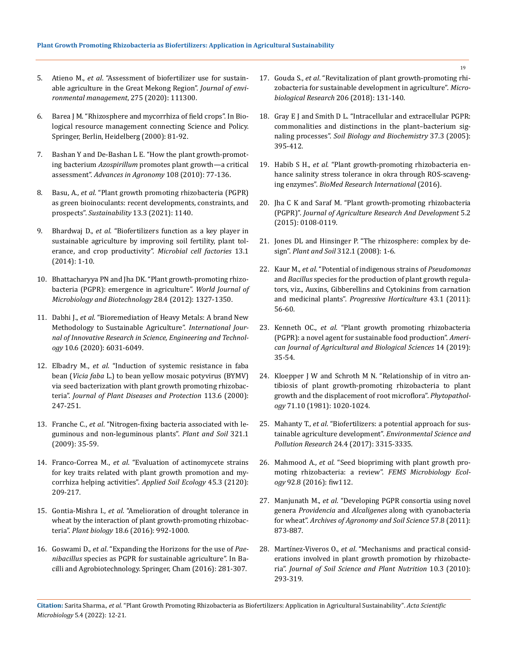- 5. Atieno M., *et al*[. "Assessment of biofertilizer use for sustain](https://pubmed.ncbi.nlm.nih.gov/32871522/)[able agriculture in the Great Mekong Region".](https://pubmed.ncbi.nlm.nih.gov/32871522/) *Journal of envi[ronmental management](https://pubmed.ncbi.nlm.nih.gov/32871522/)*, 275 (2020): 111300.
- 6. Barea J M. "Rhizosphere and mycorrhiza of field crops". In Biological resource management connecting Science and Policy. Springer, Berlin, Heidelberg (2000): 81-92.
- 7. [Bashan Y and De-Bashan L E. "How the plant growth-promot](https://www.sciencedirect.com/science/article/abs/pii/S0065211310080028)ing bacterium *Azospirillum* [promotes plant growth—a critical](https://www.sciencedirect.com/science/article/abs/pii/S0065211310080028)  assessment". *[Advances in Agronomy](https://www.sciencedirect.com/science/article/abs/pii/S0065211310080028)* 108 (2010): 77-136.
- 8. Basu, A., *et al*[. "Plant growth promoting rhizobacteria \(PGPR\)](https://www.mdpi.com/2071-1050/13/3/1140)  [as green bioinoculants: recent developments, constraints, and](https://www.mdpi.com/2071-1050/13/3/1140)  prospects". *Sustainability* [13.3 \(2021\): 1140.](https://www.mdpi.com/2071-1050/13/3/1140)
- 9. Bhardwaj D., *et al*[. "Biofertilizers function as a key player in](https://microbialcellfactories.biomedcentral.com/articles/10.1186/1475-2859-13-66)  [sustainable agriculture by improving soil fertility, plant tol](https://microbialcellfactories.biomedcentral.com/articles/10.1186/1475-2859-13-66)[erance, and crop productivity".](https://microbialcellfactories.biomedcentral.com/articles/10.1186/1475-2859-13-66) *Microbial cell factories* 13.1 [\(2014\): 1-10.](https://microbialcellfactories.biomedcentral.com/articles/10.1186/1475-2859-13-66)
- 10. [Bhattacharyya PN and Jha DK. "Plant growth-promoting rhizo](https://pubmed.ncbi.nlm.nih.gov/22805914/)[bacteria \(PGPR\): emergence in agriculture".](https://pubmed.ncbi.nlm.nih.gov/22805914/) *World Journal of [Microbiology and Biotechnology](https://pubmed.ncbi.nlm.nih.gov/22805914/)* 28.4 (2012): 1327-1350.
- 11. Dabhi J., *et al*. "Bioremediation of Heavy Metals: A brand New Methodology to Sustainable Agriculture". *International Journal of Innovative Research in Science, Engineering and Technology* 10.6 (2020): 6031-6049.
- 12. Elbadry M., *et al*[. "Induction of systemic resistance in faba](https://www.jstor.org/stable/43228873)  bean (*Vicia faba* [L.\) to bean yellow mosaic potyvirus \(BYMV\)](https://www.jstor.org/stable/43228873)  [via seed bacterization with plant growth promoting rhizobac](https://www.jstor.org/stable/43228873)teria". *[Journal of Plant Diseases and Protection](https://www.jstor.org/stable/43228873)* 113.6 (2000): [247-251.](https://www.jstor.org/stable/43228873)
- 13. Franche C., *et al*[. "Nitrogen-fixing bacteria associated with le](https://link.springer.com/article/10.1007/s11104-008-9833-8)[guminous and non-leguminous plants".](https://link.springer.com/article/10.1007/s11104-008-9833-8) *Plant and Soil* 321.1 [\(2009\): 35-59.](https://link.springer.com/article/10.1007/s11104-008-9833-8)
- 14. Franco-Correa M., *et al*[. "Evaluation of actinomycete strains](https://www.sciencedirect.com/science/article/abs/pii/S0929139310000703)  [for key traits related with plant growth promotion and my](https://www.sciencedirect.com/science/article/abs/pii/S0929139310000703)[corrhiza helping activities".](https://www.sciencedirect.com/science/article/abs/pii/S0929139310000703) *Applied Soil Ecology* 45.3 (2120): [209-217.](https://www.sciencedirect.com/science/article/abs/pii/S0929139310000703)
- 15. Gontia-Mishra I., *et al*. "Amelioration of drought tolerance in wheat by the interaction of plant growth-promoting rhizobacteria". *Plant biology* 18.6 (2016): 992-1000.
- 16. Goswami D., *et al*. "Expanding the Horizons for the use of *Paenibacillus* species as PGPR for sustainable agriculture". In Bacilli and Agrobiotechnology. Springer, Cham (2016): 281-307.
- 17. Gouda S., *et al*[. "Revitalization of plant growth-promoting rhi](https://www.sciencedirect.com/science/article/pii/S0944501317303415)[zobacteria for sustainable development in agriculture".](https://www.sciencedirect.com/science/article/pii/S0944501317303415) *Micro[biological Research](https://www.sciencedirect.com/science/article/pii/S0944501317303415)* 206 (2018): 131-140.
- 18. [Gray E J and Smith D L. "Intracellular and extracellular PGPR:](https://www.sciencedirect.com/science/article/abs/pii/S0038071704003608)  [commonalities and distinctions in the plant–bacterium sig](https://www.sciencedirect.com/science/article/abs/pii/S0038071704003608)naling processes". *[Soil Biology and Biochemistry](https://www.sciencedirect.com/science/article/abs/pii/S0038071704003608)* 37.3 (2005): [395-412.](https://www.sciencedirect.com/science/article/abs/pii/S0038071704003608)
- 19. Habib S H., *et al*[. "Plant growth-promoting rhizobacteria en](https://www.hindawi.com/journals/bmri/2016/6284547/)[hance salinity stress tolerance in okra through ROS-scaveng](https://www.hindawi.com/journals/bmri/2016/6284547/)ing enzymes". *[BioMed Research International](https://www.hindawi.com/journals/bmri/2016/6284547/)* (2016).
- 20. Jha C K and Saraf M. "Plant growth-promoting rhizobacteria (PGPR)". *Journal of Agriculture Research And Development* 5.2 (2015): 0108-0119.
- 21. [Jones DL and Hinsinger P. "The rhizosphere: complex by de](https://www.researchgate.net/publication/226868251_The_rhizosphere_Complex_by_design)sign". *Plant and Soil* [312.1 \(2008\): 1-6.](https://www.researchgate.net/publication/226868251_The_rhizosphere_Complex_by_design)
- 22. Kaur M., *et al*[. "Potential of indigenous strains of](https://pubag.nal.usda.gov/catalog/7236640) *Pseudomonas* and *Bacillus* [species for the production of plant growth regula](https://pubag.nal.usda.gov/catalog/7236640)[tors, viz., Auxins, Gibberellins and Cytokinins from carnation](https://pubag.nal.usda.gov/catalog/7236640)  and medicinal plants". *[Progressive Horticulture](https://pubag.nal.usda.gov/catalog/7236640)* 43.1 (2011): [56-60.](https://pubag.nal.usda.gov/catalog/7236640)
- 23. Kenneth OC., *et al*. "Plant growth promoting rhizobacteria (PGPR): a novel agent for sustainable food production". *American Journal of Agricultural and Biological Sciences* 14 (2019): 35-54.
- 24. Kloepper J W and Schroth M N. "Relationship of in vitro antibiosis of plant growth-promoting rhizobacteria to plant growth and the displacement of root microflora". *Phytopathology* 71.10 (1981): 1020-1024.
- 25. Mahanty T., *et al*[. "Biofertilizers: a potential approach for sus](https://pubmed.ncbi.nlm.nih.gov/27888482/)[tainable agriculture development".](https://pubmed.ncbi.nlm.nih.gov/27888482/) *Environmental Science and Pollution Research* [24.4 \(2017\): 3315-3335.](https://pubmed.ncbi.nlm.nih.gov/27888482/)
- 26. Mahmood A., *et al*[. "Seed biopriming with plant growth pro](https://academic.oup.com/femsec/article/92/8/fiw112/2470036)[moting rhizobacteria: a review".](https://academic.oup.com/femsec/article/92/8/fiw112/2470036) *FEMS Microbiology Ecology* [92.8 \(2016\): fiw112.](https://academic.oup.com/femsec/article/92/8/fiw112/2470036)
- 27. Manjunath M., *et al*[. "Developing PGPR consortia using novel](https://www.tandfonline.com/doi/abs/10.1080/03650340.2010.499902)  genera *Providencia* and *Alcaligenes* [along with cyanobacteria](https://www.tandfonline.com/doi/abs/10.1080/03650340.2010.499902)  for wheat". *[Archives of Agronomy and Soil Science](https://www.tandfonline.com/doi/abs/10.1080/03650340.2010.499902)* 57.8 (2011): [873-887.](https://www.tandfonline.com/doi/abs/10.1080/03650340.2010.499902)
- 28. Martínez-Viveros O., *et al*[. "Mechanisms and practical consid](https://www.scielo.cl/scielo.php?script=sci_arttext&pid=S0718-95162010000100006)[erations involved in plant growth promotion by rhizobacte](https://www.scielo.cl/scielo.php?script=sci_arttext&pid=S0718-95162010000100006)ria". *[Journal of Soil Science and Plant Nutrition](https://www.scielo.cl/scielo.php?script=sci_arttext&pid=S0718-95162010000100006)* 10.3 (2010): [293-319.](https://www.scielo.cl/scielo.php?script=sci_arttext&pid=S0718-95162010000100006)

**Citation:** Sarita Sharma*., et al.* "Plant Growth Promoting Rhizobacteria as Biofertilizers: Application in Agricultural Sustainability". *Acta Scientific Microbiology* 5.4 (2022): 12-21.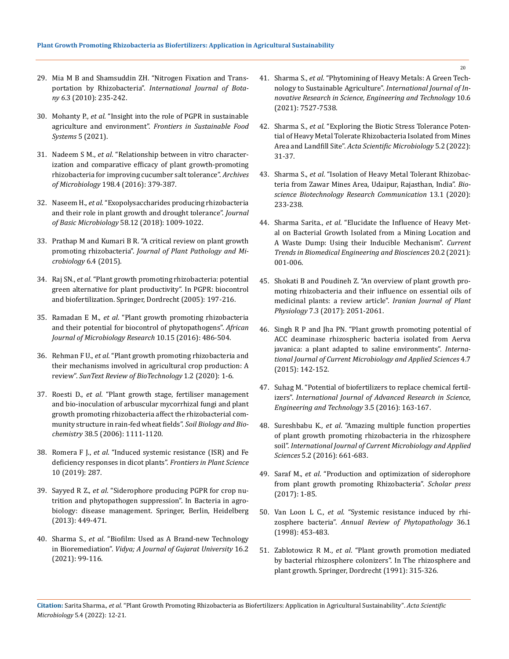- 29. Mia M B and Shamsuddin ZH. "Nitrogen Fixation and Transportation by Rhizobacteria". *International Journal of Botany 6*.3 (2010): 235-242.
- 30. Mohanty P., *et al*. "Insight into the role of PGPR in sustainable agriculture and environment". *Frontiers in Sustainable Food Systems* 5 (2021).
- 31. Nadeem S M., *et al*[. "Relationship between in vitro character](https://pubmed.ncbi.nlm.nih.gov/26860842/)[ization and comparative efficacy of plant growth-promoting](https://pubmed.ncbi.nlm.nih.gov/26860842/)  [rhizobacteria for improving cucumber salt tolerance".](https://pubmed.ncbi.nlm.nih.gov/26860842/) *Archives of Microbiology* [198.4 \(2016\): 379-387.](https://pubmed.ncbi.nlm.nih.gov/26860842/)
- 32. Naseem H., *et al*. "Exopolysaccharides producing rhizobacteria and their role in plant growth and drought tolerance". *Journal of Basic Microbiology* 58.12 (2018): 1009-1022.
- 33. [Prathap M and Kumari B R. "A critical review on plant growth](https://www.researchgate.net/publication/281722911_A_Critical_Review_on_Plant_Growth_Promoting_Rhizobacteria)  promoting rhizobacteria". *[Journal of Plant Pathology and Mi](https://www.researchgate.net/publication/281722911_A_Critical_Review_on_Plant_Growth_Promoting_Rhizobacteria)[crobiology](https://www.researchgate.net/publication/281722911_A_Critical_Review_on_Plant_Growth_Promoting_Rhizobacteria)* 6.4 (2015).
- 34. Raj SN., *et al*. "Plant growth promoting rhizobacteria: potential green alternative for plant productivity". In PGPR: biocontrol and biofertilization. Springer, Dordrecht (2005): 197-216.
- 35. Ramadan E M., *et al*[. "Plant growth promoting rhizobacteria](https://www.researchgate.net/publication/301902938_Plant_growth_promoting_rhizobacteria_and_their_potential_for_biocontrol_of_phytopathogens)  [and their potential for biocontrol of phytopathogens".](https://www.researchgate.net/publication/301902938_Plant_growth_promoting_rhizobacteria_and_their_potential_for_biocontrol_of_phytopathogens) *African [Journal of Microbiology Research](https://www.researchgate.net/publication/301902938_Plant_growth_promoting_rhizobacteria_and_their_potential_for_biocontrol_of_phytopathogens)* 10.15 (2016): 486-504.
- 36. Rehman F U., *et al*. "Plant growth promoting rhizobacteria and their mechanisms involved in agricultural crop production: A review". *SunText Review of BioTechnology* 1.2 (2020): 1-6.
- 37. Roesti D., *et al*[. "Plant growth stage, fertiliser management](https://www.sciencedirect.com/science/article/abs/pii/S0038071705003263)  [and bio-inoculation of arbuscular mycorrhizal fungi and plant](https://www.sciencedirect.com/science/article/abs/pii/S0038071705003263)  [growth promoting rhizobacteria affect the rhizobacterial com](https://www.sciencedirect.com/science/article/abs/pii/S0038071705003263)[munity structure in rain-fed wheat fields".](https://www.sciencedirect.com/science/article/abs/pii/S0038071705003263) *Soil Biology and Biochemistry* [38.5 \(2006\): 1111-1120.](https://www.sciencedirect.com/science/article/abs/pii/S0038071705003263)
- 38. Romera F J., *et al*[. "Induced systemic resistance \(ISR\) and Fe](https://www.frontiersin.org/articles/10.3389/fpls.2019.00287/full)  [deficiency responses in dicot plants".](https://www.frontiersin.org/articles/10.3389/fpls.2019.00287/full) *Frontiers in Plant Science* [10 \(2019\): 287.](https://www.frontiersin.org/articles/10.3389/fpls.2019.00287/full)
- 39. Sayyed R Z., *et al*[. "Siderophore producing PGPR for crop nu](https://link.springer.com/chapter/10.1007/978-3-642-33639-3_17)[trition and phytopathogen suppression". In](https://link.springer.com/chapter/10.1007/978-3-642-33639-3_17) Bacteria in agro[biology: disease management. Springer, Berlin, Heidelberg](https://link.springer.com/chapter/10.1007/978-3-642-33639-3_17)  [\(2013\): 449-471.](https://link.springer.com/chapter/10.1007/978-3-642-33639-3_17)
- 40. Sharma S., *et al*. "Biofilm: Used as A Brand-new Technology in Bioremediation". *Vidya; A Journal of Gujarat University* 16.2 (2021): 99-116.
- 41. Sharma S., *et al*[. "Phytomining of Heavy Metals: A Green Tech](https://www.semanticscholar.org/paper/Phytomining-of-Heavy-Metals%3A-A-Green-Technology-to-Sharma-Parihar/2c3f80780115805f251e7b030ead6a00a4539c87)[nology to Sustainable Agriculture".](https://www.semanticscholar.org/paper/Phytomining-of-Heavy-Metals%3A-A-Green-Technology-to-Sharma-Parihar/2c3f80780115805f251e7b030ead6a00a4539c87) *International Journal of In[novative Research in Science, Engineering and Technology](https://www.semanticscholar.org/paper/Phytomining-of-Heavy-Metals%3A-A-Green-Technology-to-Sharma-Parihar/2c3f80780115805f251e7b030ead6a00a4539c87)* 10.6 [\(2021\): 7527-7538.](https://www.semanticscholar.org/paper/Phytomining-of-Heavy-Metals%3A-A-Green-Technology-to-Sharma-Parihar/2c3f80780115805f251e7b030ead6a00a4539c87)
- 42. Sharma S., *et al*. "Exploring the Biotic Stress Tolerance Potential of Heavy Metal Tolerate Rhizobacteria Isolated from Mines Area and Landfill Site". *Acta Scientific Microbiology* 5.2 (2022): 31-37.
- 43. Sharma S., *et al*[. "Isolation of Heavy Metal Tolerant Rhizobac](https://www.researchgate.net/publication/350789150_Isolation_of_Heavy_Metal_Tolerant_Rhizobacteria_from_Zawar_Mines_Area_Udaipur_Rajasthan_India)[teria from Zawar Mines Area, Udaipur, Rajasthan, India".](https://www.researchgate.net/publication/350789150_Isolation_of_Heavy_Metal_Tolerant_Rhizobacteria_from_Zawar_Mines_Area_Udaipur_Rajasthan_India) *Bio[science Biotechnology Research Communication](https://www.researchgate.net/publication/350789150_Isolation_of_Heavy_Metal_Tolerant_Rhizobacteria_from_Zawar_Mines_Area_Udaipur_Rajasthan_India)* 13.1 (2020): [233-238.](https://www.researchgate.net/publication/350789150_Isolation_of_Heavy_Metal_Tolerant_Rhizobacteria_from_Zawar_Mines_Area_Udaipur_Rajasthan_India)
- 44. Sharma Sarita., *et al*. "Elucidate the Influence of Heavy Metal on Bacterial Growth Isolated from a Mining Location and A Waste Dump: Using their Inducible Mechanism". *Current Trends in Biomedical Engineering and Biosciences* 20.2 (2021): 001-006.
- 45. [Shokati B and Poudineh Z. "An overview of plant growth pro](https://ijpp.iau-saveh.ac.ir/article_533559_500ab226eec938ae5b7515e679c670e7.pdf)[moting rhizobacteria and their influence on essential oils of](https://ijpp.iau-saveh.ac.ir/article_533559_500ab226eec938ae5b7515e679c670e7.pdf)  [medicinal plants: a review article".](https://ijpp.iau-saveh.ac.ir/article_533559_500ab226eec938ae5b7515e679c670e7.pdf) *Iranian Journal of Plant Physiology* [7.3 \(2017\): 2051-2061.](https://ijpp.iau-saveh.ac.ir/article_533559_500ab226eec938ae5b7515e679c670e7.pdf)
- 46. [Singh R P and Jha PN. "Plant growth promoting potential of](https://www.ijcmas.com/vol-4-7/Rajnish%20Prakash%20Singh%20and%20Prabhat%20Nath%20Jha.pdf)  [ACC deaminase rhizospheric bacteria isolated from Aerva](https://www.ijcmas.com/vol-4-7/Rajnish%20Prakash%20Singh%20and%20Prabhat%20Nath%20Jha.pdf)  [javanica: a plant adapted to saline environments".](https://www.ijcmas.com/vol-4-7/Rajnish%20Prakash%20Singh%20and%20Prabhat%20Nath%20Jha.pdf) *Interna[tional Journal of Current Microbiology and Applied Sciences](https://www.ijcmas.com/vol-4-7/Rajnish%20Prakash%20Singh%20and%20Prabhat%20Nath%20Jha.pdf)* 4.7 [\(2015\): 142-152.](https://www.ijcmas.com/vol-4-7/Rajnish%20Prakash%20Singh%20and%20Prabhat%20Nath%20Jha.pdf)
- 47. [Suhag M. "Potential of biofertilizers to replace chemical fertil](https://iarjset.com/upload/2016/may-16/IARJSET%2034.pdf)izers". *[International Journal of Advanced Research in Science,](https://iarjset.com/upload/2016/may-16/IARJSET%2034.pdf)  [Engineering and Technology](https://iarjset.com/upload/2016/may-16/IARJSET%2034.pdf)* 3.5 (2016): 163-167.
- 48. Sureshbabu K., *et al*[. "Amazing multiple function properties](https://www.researchgate.net/publication/294276157_Amazing_Multiple_Function_Properties_of_Plant_Growth_Promoting_Rhizobacteria_in_the_Rhizosphere_Soil)  [of plant growth promoting rhizobacteria in the rhizosphere](https://www.researchgate.net/publication/294276157_Amazing_Multiple_Function_Properties_of_Plant_Growth_Promoting_Rhizobacteria_in_the_Rhizosphere_Soil)  soil". *[International Journal of Current Microbiology and Applied](https://www.researchgate.net/publication/294276157_Amazing_Multiple_Function_Properties_of_Plant_Growth_Promoting_Rhizobacteria_in_the_Rhizosphere_Soil)  Sciences* [5.2 \(2016\): 661-683.](https://www.researchgate.net/publication/294276157_Amazing_Multiple_Function_Properties_of_Plant_Growth_Promoting_Rhizobacteria_in_the_Rhizosphere_Soil)
- 49. Saraf M., *et al*. "Production and optimization of siderophore from plant growth promoting Rhizobacteria". *Scholar press*  (2017): 1-85.
- 50. Van Loon L C., *et al*[. "Systemic resistance induced by rhi](https://pubmed.ncbi.nlm.nih.gov/15012509/)zosphere bacteria". *[Annual Review of Phytopathology](https://pubmed.ncbi.nlm.nih.gov/15012509/)* 36.1 [\(1998\): 453-483.](https://pubmed.ncbi.nlm.nih.gov/15012509/)
- 51. Zablotowicz R M., *et al*. "Plant growth promotion mediated by bacterial rhizosphere colonizers". In The rhizosphere and plant growth. Springer, Dordrecht (1991): 315-326.

**Citation:** Sarita Sharma*., et al.* "Plant Growth Promoting Rhizobacteria as Biofertilizers: Application in Agricultural Sustainability". *Acta Scientific Microbiology* 5.4 (2022): 12-21.